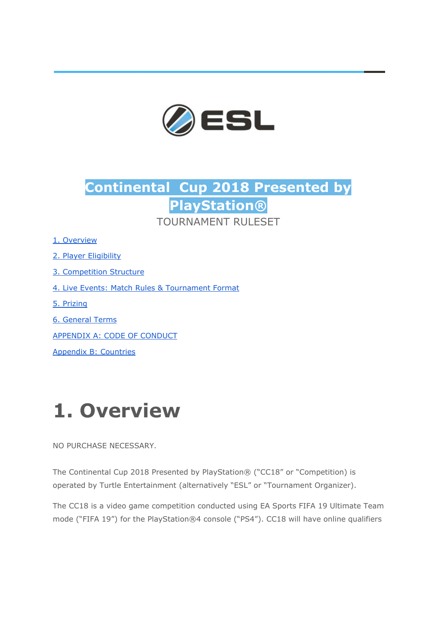

## **Continental Cup 2018 Presented by PlayStation®** TOURNAMENT RUI ESET

1. [Overview](#page-0-0)

2. Player [Eligibility](#page-1-0)

3. [Competition](#page-3-0) Structure

- 4. Live Events: Match Rules & [Tournament](#page-20-0) Format
- 5. [Prizing](#page-23-0)
- 6. [General](#page-25-0) Terms

[APPENDIX](#page-29-0) A: CODE OF CONDUCT

Appendix B: [Countries](#page-34-0)

# <span id="page-0-0"></span>**1. Overview**

NO PURCHASE NECESSARY.

The Continental Cup 2018 Presented by PlayStation® ("CC18" or "Competition) is operated by Turtle Entertainment (alternatively "ESL" or "Tournament Organizer).

The CC18 is a video game competition conducted using EA Sports FIFA 19 Ultimate Team mode ("FIFA 19") for the PlayStation®4 console ("PS4"). CC18 will have online qualifiers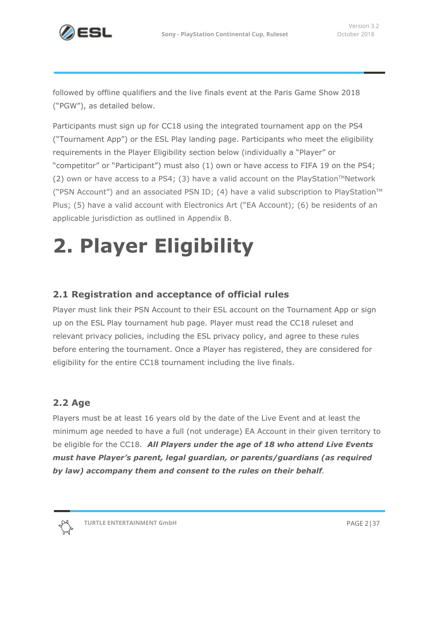

followed by offline qualifiers and the live finals event at the Paris Game Show 2018 ("PGW"), as detailed below.

Participants must sign up for CC18 using the integrated tournament app on the PS4 ("Tournament App") or the ESL Play landing page. Participants who meet the eligibility requirements in the Player Eligibility section below (individually a "Player" or "competitor" or "Participant") must also (1) own or have access to FIFA 19 on the PS4; (2) own or have access to a PS4; (3) have a valid account on the PlayStation<sup>™</sup>Network ("PSN Account") and an associated PSN ID; (4) have a valid subscription to PlayStation<sup>™</sup> Plus; (5) have a valid account with Electronics Art ("EA Account); (6) be residents of an applicable jurisdiction as outlined in Appendix B.

# <span id="page-1-0"></span>**2. Player Eligibility**

## **2.1 Registration and acceptance of official rules**

Player must link their PSN Account to their ESL account on the Tournament App or sign up on the ESL Play tournament hub page. Player must read the CC18 ruleset and relevant privacy policies, including the ESL privacy policy, and agree to these rules before entering the tournament. Once a Player has registered, they are considered for eligibility for the entire CC18 tournament including the live finals.

## **2.2 Age**

Players must be at least 16 years old by the date of the Live Event and at least the minimum age needed to have a full (not underage) EA Account in their given territory to be eligible for the CC18. *All Players under the age of 18 who attend Live Events must have Player's parent, legal guardian, or parents/guardians (as required by law) accompany them and consent to the rules on their behalf.*

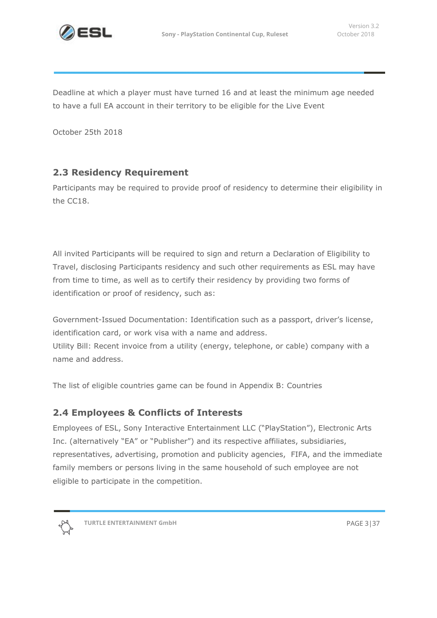

Deadline at which a player must have turned 16 and at least the minimum age needed to have a full EA account in their territory to be eligible for the Live Event

October 25th 2018

## **2.3 Residency Requirement**

Participants may be required to provide proof of residency to determine their eligibility in the CC18.

All invited Participants will be required to sign and return a Declaration of Eligibility to Travel, disclosing Participants residency and such other requirements as ESL may have from time to time, as well as to certify their residency by providing two forms of identification or proof of residency, such as:

Government-Issued Documentation: Identification such as a passport, driver's license, identification card, or work visa with a name and address.

Utility Bill: Recent invoice from a utility (energy, telephone, or cable) company with a name and address.

The list of eligible countries game can be found in Appendix B: Countries

## **2.4 Employees & Conflicts of Interests**

Employees of ESL, Sony Interactive Entertainment LLC ("PlayStation"), Electronic Arts Inc. (alternatively "EA" or "Publisher") and its respective affiliates, subsidiaries, representatives, advertising, promotion and publicity agencies, FIFA, and the immediate family members or persons living in the same household of such employee are not eligible to participate in the competition.



**TURTLE ENTERTAINMENT GmbH** PAGE 3|37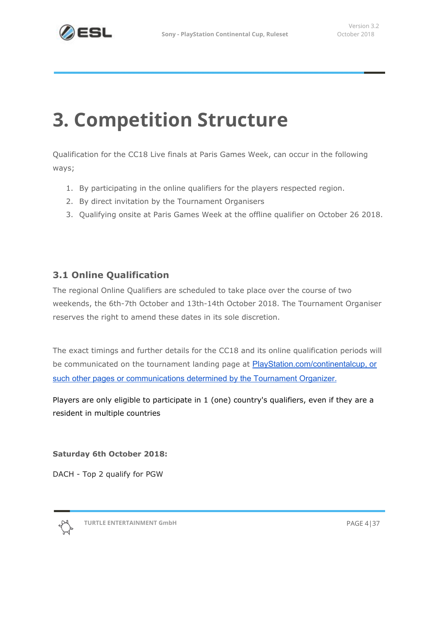

## <span id="page-3-0"></span>**3. Competition Structure**

Qualification for the CC18 Live finals at Paris Games Week, can occur in the following ways;

- 1. By participating in the online qualifiers for the players respected region.
- 2. By direct invitation by the Tournament Organisers
- 3. Qualifying onsite at Paris Games Week at the offline qualifier on October 26 2018.

## **3.1 Online Qualification**

The regional Online Qualifiers are scheduled to take place over the course of two weekends, the 6th-7th October and 13th-14th October 2018. The Tournament Organiser reserves the right to amend these dates in its sole discretion.

The exact timings and further details for the CC18 and its online qualification periods will be communicated on the tournament landing page at **[PlayStation.com/continentalcup,](http://playstation.com/continentalcup) or** such other pages or [communications](http://playstation.com/continentalcup) determined by the Tournament Organizer[.](http://playstation.com/continentalcup)

Players are only eligible to participate in 1 (one) country's qualifiers, even if they are a resident in multiple countries

**Saturday 6th October 2018:**

DACH - Top 2 qualify for PGW

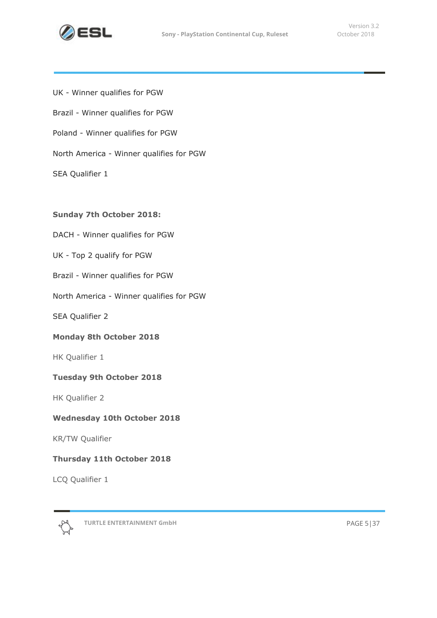

UK - Winner qualifies for PGW Brazil - Winner qualifies for PGW Poland - Winner qualifies for PGW North America - Winner qualifies for PGW SEA Qualifier 1

#### **Sunday 7th October 2018:**

DACH - Winner qualifies for PGW

- UK Top 2 qualify for PGW
- Brazil Winner qualifies for PGW
- North America Winner qualifies for PGW

SEA Qualifier 2

#### **Monday 8th October 2018**

HK Qualifier 1

#### **Tuesday 9th October 2018**

HK Qualifier 2

#### **Wednesday 10th October 2018**

KR/TW Qualifier

#### **Thursday 11th October 2018**

LCQ Qualifier 1



**TURTLE ENTERTAINMENT GmbH** PAGE 5|37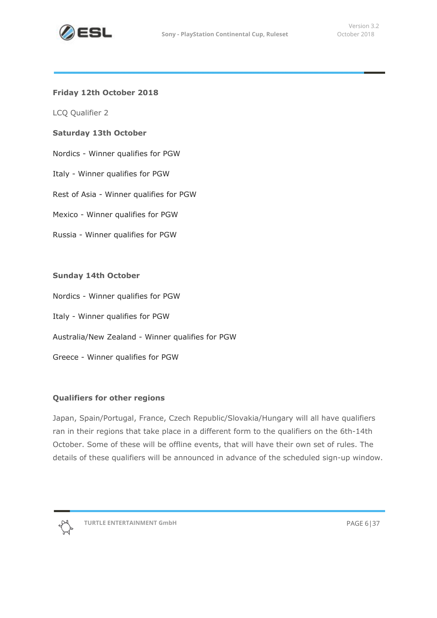

#### **Friday 12th October 2018**

LCQ Qualifier 2

#### **Saturday 13th October**

- Nordics Winner qualifies for PGW
- Italy Winner qualifies for PGW
- Rest of Asia Winner qualifies for PGW
- Mexico Winner qualifies for PGW
- Russia Winner qualifies for PGW

#### **Sunday 14th October**

- Nordics Winner qualifies for PGW
- Italy Winner qualifies for PGW
- Australia/New Zealand Winner qualifies for PGW
- Greece Winner qualifies for PGW

#### **Qualifiers for other regions**

Japan, Spain/Portugal, France, Czech Republic/Slovakia/Hungary will all have qualifiers ran in their regions that take place in a different form to the qualifiers on the 6th-14th October. Some of these will be offline events, that will have their own set of rules. The details of these qualifiers will be announced in advance of the scheduled sign-up window.

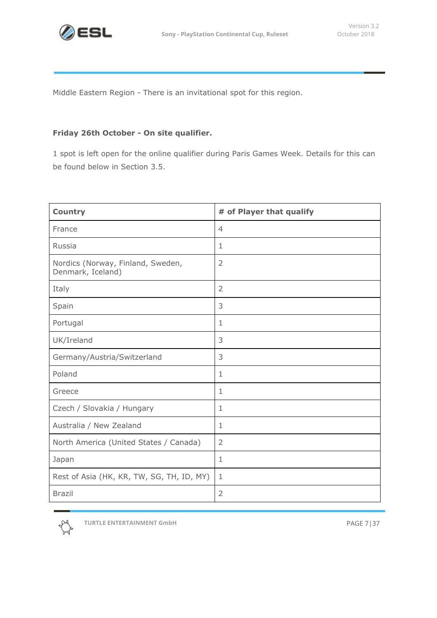

Middle Eastern Region - There is an invitational spot for this region.

#### **Friday 26th October - On site qualifier.**

1 spot is left open for the online qualifier during Paris Games Week. Details for this can be found below in Section 3.5.

| <b>Country</b>                                         | # of Player that qualify |
|--------------------------------------------------------|--------------------------|
| France                                                 | $\overline{4}$           |
| Russia                                                 | 1                        |
| Nordics (Norway, Finland, Sweden,<br>Denmark, Iceland) | $\overline{2}$           |
| Italy                                                  | $\overline{2}$           |
| Spain                                                  | 3                        |
| Portugal                                               | 1                        |
| UK/Ireland                                             | 3                        |
| Germany/Austria/Switzerland                            | 3                        |
| Poland                                                 | 1                        |
| Greece                                                 | $\mathbf{1}$             |
| Czech / Slovakia / Hungary                             | 1                        |
| Australia / New Zealand                                | $\mathbf{1}$             |
| North America (United States / Canada)                 | $\overline{2}$           |
| Japan                                                  | $\mathbf{1}$             |
| Rest of Asia (HK, KR, TW, SG, TH, ID, MY)              | $\mathbf{1}$             |
| <b>Brazil</b>                                          | $\overline{2}$           |

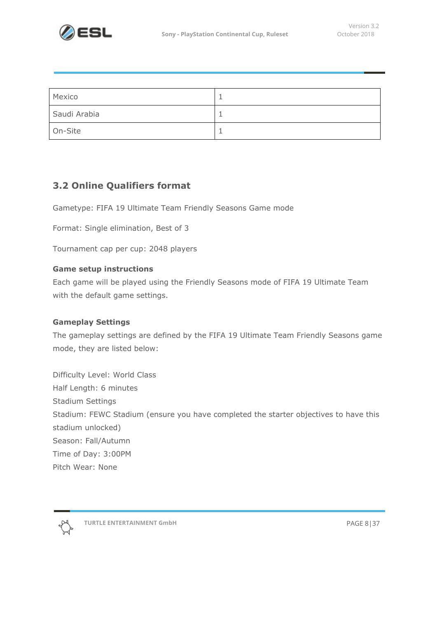

| Mexico       |  |
|--------------|--|
| Saudi Arabia |  |
| On-Site      |  |

## **3.2 Online Qualifiers format**

Gametype: FIFA 19 Ultimate Team Friendly Seasons Game mode

Format: Single elimination, Best of 3

Tournament cap per cup: 2048 players

#### **Game setup instructions**

Each game will be played using the Friendly Seasons mode of FIFA 19 Ultimate Team with the default game settings.

#### **Gameplay Settings**

The gameplay settings are defined by the FIFA 19 Ultimate Team Friendly Seasons game mode, they are listed below:

Difficulty Level: World Class Half Length: 6 minutes Stadium Settings Stadium: FEWC Stadium (ensure you have completed the starter objectives to have this stadium unlocked) Season: Fall/Autumn Time of Day: 3:00PM Pitch Wear: None



**TURTLE ENTERTAINMENT GmbH** PAGE 8|37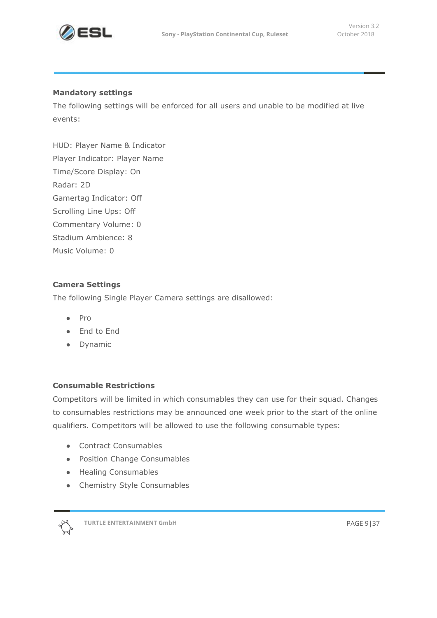

#### **Mandatory settings**

The following settings will be enforced for all users and unable to be modified at live events:

HUD: Player Name & Indicator Player Indicator: Player Name Time/Score Display: On Radar: 2D Gamertag Indicator: Off Scrolling Line Ups: Off Commentary Volume: 0 Stadium Ambience: 8 Music Volume: 0

#### **Camera Settings**

The following Single Player Camera settings are disallowed:

- Pro
- End to End
- Dynamic

#### **Consumable Restrictions**

Competitors will be limited in which consumables they can use for their squad. Changes to consumables restrictions may be announced one week prior to the start of the online qualifiers. Competitors will be allowed to use the following consumable types:

- Contract Consumables
- Position Change Consumables
- Healing Consumables
- Chemistry Style Consumables



**TURTLE ENTERTAINMENT GmbH** PAGE 9|37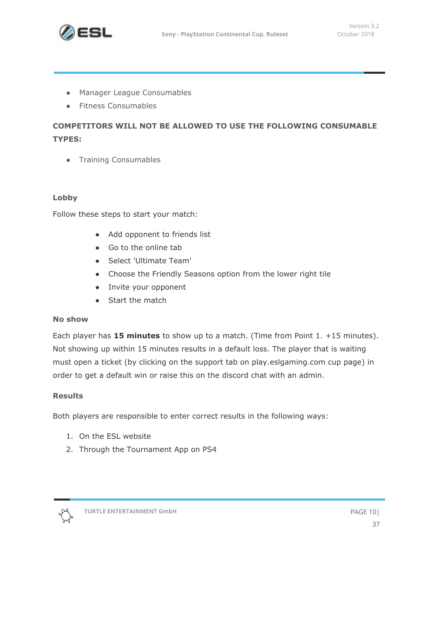

- Manager League Consumables
- Fitness Consumables

## **COMPETITORS WILL NOT BE ALLOWED TO USE THE FOLLOWING CONSUMABLE TYPES:**

● Training Consumables

#### **Lobby**

Follow these steps to start your match:

- Add opponent to friends list
- Go to the online tab
- Select 'Ultimate Team'
- Choose the Friendly Seasons option from the lower right tile
- Invite your opponent
- Start the match

#### **No show**

Each player has **15 minutes** to show up to a match. (Time from Point 1. +15 minutes). Not showing up within 15 minutes results in a default loss. The player that is waiting must open a ticket (by clicking on the support tab on play.eslgaming.com cup page) in order to get a default win or raise this on the discord chat with an admin.

#### **Results**

Both players are responsible to enter correct results in the following ways:

- 1. On the ESL website
- 2. Through the Tournament App on PS4

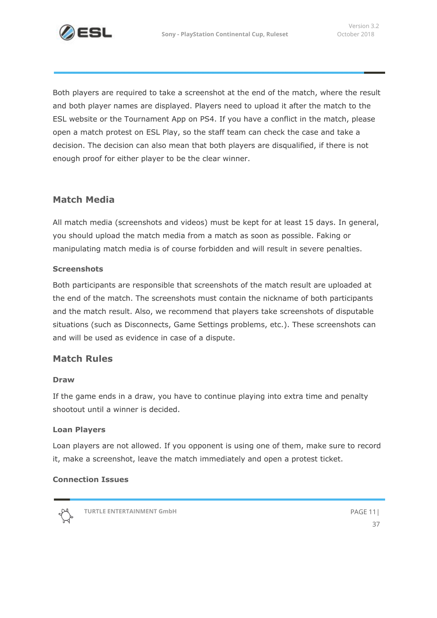

Both players are required to take a screenshot at the end of the match, where the result and both player names are displayed. Players need to upload it after the match to the ESL website or the Tournament App on PS4. If you have a conflict in the match, please open a match protest on ESL Play, so the staff team can check the case and take a decision. The decision can also mean that both players are disqualified, if there is not enough proof for either player to be the clear winner.

## **Match Media**

All match media (screenshots and videos) must be kept for at least 15 days. In general, you should upload the match media from a match as soon as possible. Faking or manipulating match media is of course forbidden and will result in severe penalties.

#### **Screenshots**

Both participants are responsible that screenshots of the match result are uploaded at the end of the match. The screenshots must contain the nickname of both participants and the match result. Also, we recommend that players take screenshots of disputable situations (such as Disconnects, Game Settings problems, etc.). These screenshots can and will be used as evidence in case of a dispute.

## **Match Rules**

#### **Draw**

If the game ends in a draw, you have to continue playing into extra time and penalty shootout until a winner is decided.

#### **Loan Players**

Loan players are not allowed. If you opponent is using one of them, make sure to record it, make a screenshot, leave the match immediately and open a protest ticket.

#### **Connection Issues**



**TURTLE ENTERTAINMENT GmbH** PAGE 11|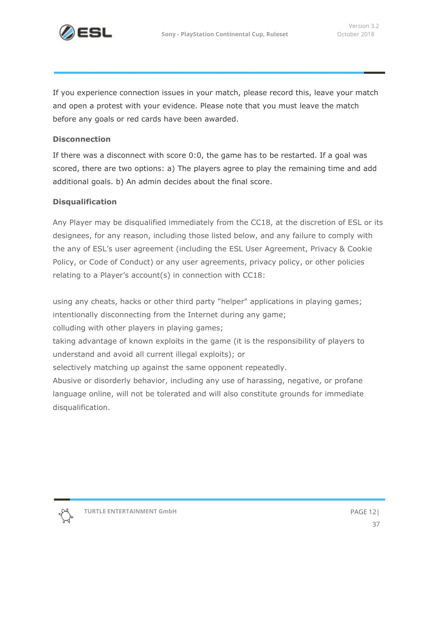

If you experience connection issues in your match, please record this, leave your match and open a protest with your evidence. Please note that you must leave the match before any goals or red cards have been awarded.

#### **Disconnection**

If there was a disconnect with score 0:0, the game has to be restarted. If a goal was scored, there are two options: a) The players agree to play the remaining time and add additional goals. b) An admin decides about the final score.

#### **Disqualification**

Any Player may be disqualified immediately from the CC18, at the discretion of ESL or its designees, for any reason, including those listed below, and any failure to comply with the any of ESL's user agreement (including the ESL User Agreement, Privacy & Cookie Policy, or Code of Conduct) or any user agreements, privacy policy, or other policies relating to a Player's account(s) in connection with CC18:

using any cheats, hacks or other third party "helper" applications in playing games; intentionally disconnecting from the Internet during any game;

colluding with other players in playing games;

taking advantage of known exploits in the game (it is the responsibility of players to understand and avoid all current illegal exploits); or

selectively matching up against the same opponent repeatedly.

Abusive or disorderly behavior, including any use of harassing, negative, or profane language online, will not be tolerated and will also constitute grounds for immediate disqualification.

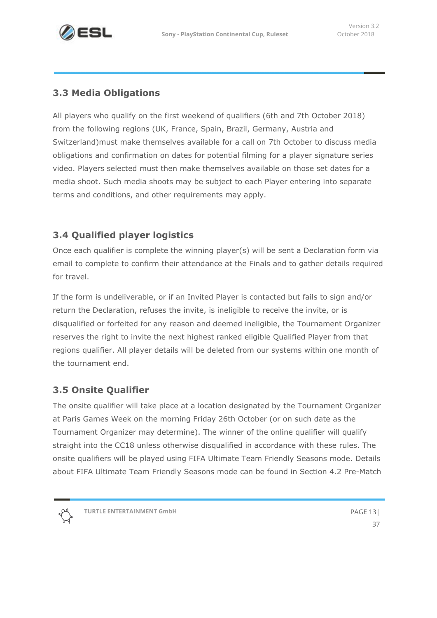## **3.3 Media Obligations**

All players who qualify on the first weekend of qualifiers (6th and 7th October 2018) from the following regions (UK, France, Spain, Brazil, Germany, Austria and Switzerland)must make themselves available for a call on 7th October to discuss media obligations and confirmation on dates for potential filming for a player signature series video. Players selected must then make themselves available on those set dates for a media shoot. Such media shoots may be subject to each Player entering into separate terms and conditions, and other requirements may apply.

## **3.4 Qualified player logistics**

Once each qualifier is complete the winning player(s) will be sent a Declaration form via email to complete to confirm their attendance at the Finals and to gather details required for travel.

If the form is undeliverable, or if an Invited Player is contacted but fails to sign and/or return the Declaration, refuses the invite, is ineligible to receive the invite, or is disqualified or forfeited for any reason and deemed ineligible, the Tournament Organizer reserves the right to invite the next highest ranked eligible Qualified Player from that regions qualifier. All player details will be deleted from our systems within one month of the tournament end.

## **3.5 Onsite Qualifier**

The onsite qualifier will take place at a location designated by the Tournament Organizer at Paris Games Week on the morning Friday 26th October (or on such date as the Tournament Organizer may determine). The winner of the online qualifier will qualify straight into the CC18 unless otherwise disqualified in accordance with these rules. The onsite qualifiers will be played using FIFA Ultimate Team Friendly Seasons mode. Details about FIFA Ultimate Team Friendly Seasons mode can be found in Section 4.2 Pre-Match

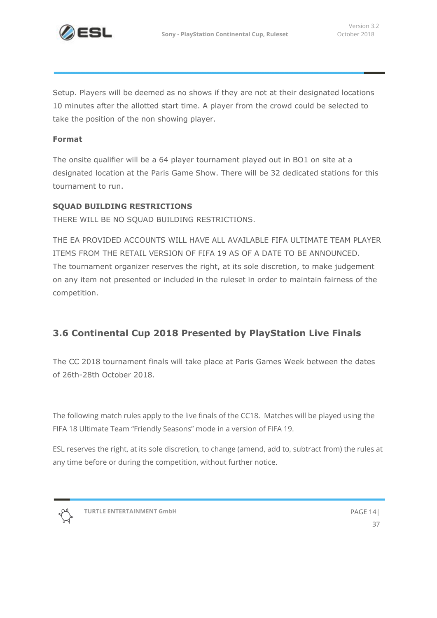

Setup. Players will be deemed as no shows if they are not at their designated locations 10 minutes after the allotted start time. A player from the crowd could be selected to take the position of the non showing player.

#### **Format**

The onsite qualifier will be a 64 player tournament played out in BO1 on site at a designated location at the Paris Game Show. There will be 32 dedicated stations for this tournament to run.

#### **SQUAD BUILDING RESTRICTIONS**

THERE WILL BE NO SQUAD BUILDING RESTRICTIONS.

THE EA PROVIDED ACCOUNTS WILL HAVE ALL AVAILABLE FIFA ULTIMATE TEAM PLAYER ITEMS FROM THE RETAIL VERSION OF FIFA 19 AS OF A DATE TO BE ANNOUNCED. The tournament organizer reserves the right, at its sole discretion, to make judgement on any item not presented or included in the ruleset in order to maintain fairness of the competition.

## **3.6 Continental Cup 2018 Presented by PlayStation Live Finals**

The CC 2018 tournament finals will take place at Paris Games Week between the dates of 26th-28th October 2018.

The following match rules apply to the live finals of the CC18. Matches will be played using the FIFA 18 Ultimate Team "Friendly Seasons" mode in a version of FIFA 19.

ESL reserves the right, at its sole discretion, to change (amend, add to, subtract from) the rules at any time before or during the competition, without further notice.

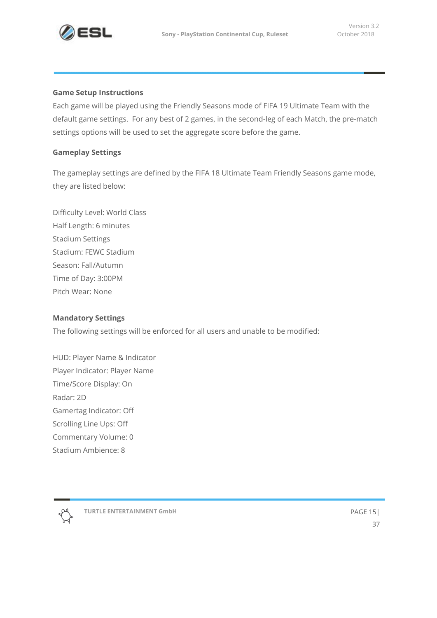

#### **Game Setup Instructions**

Each game will be played using the Friendly Seasons mode of FIFA 19 Ultimate Team with the default game settings. For any best of 2 games, in the second-leg of each Match, the pre-match settings options will be used to set the aggregate score before the game.

#### **Gameplay Settings**

The gameplay settings are defined by the FIFA 18 Ultimate Team Friendly Seasons game mode, they are listed below:

Difficulty Level: World Class Half Length: 6 minutes Stadium Settings Stadium: FEWC Stadium Season: Fall/Autumn Time of Day: 3:00PM Pitch Wear: None

#### **Mandatory Settings**

The following settings will be enforced for all users and unable to be modified:

HUD: Player Name & Indicator Player Indicator: Player Name Time/Score Display: On Radar: 2D Gamertag Indicator: Off Scrolling Line Ups: Off Commentary Volume: 0 Stadium Ambience: 8



**TURTLE ENTERTAINMENT GmbH** PAGE 15|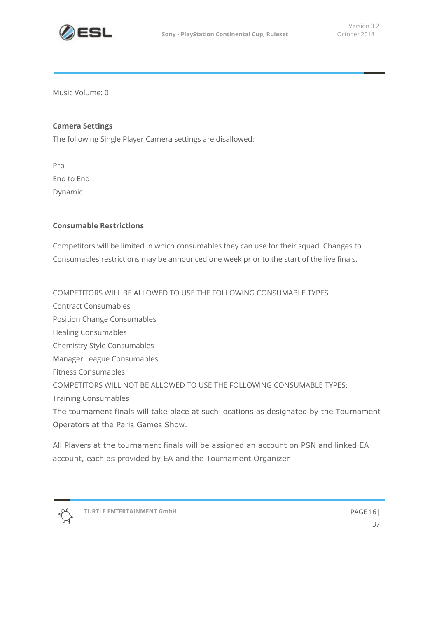

Music Volume: 0

#### **Camera Settings**

The following Single Player Camera settings are disallowed:

Pro End to End Dynamic

#### **Consumable Restrictions**

Competitors will be limited in which consumables they can use for their squad. Changes to Consumables restrictions may be announced one week prior to the start of the live finals.

COMPETITORS WILL BE ALLOWED TO USE THE FOLLOWING CONSUMABLE TYPES

Contract Consumables

Position Change Consumables

Healing Consumables

Chemistry Style Consumables

Manager League Consumables

Fitness Consumables

COMPETITORS WILL NOT BE ALLOWED TO USE THE FOLLOWING CONSUMABLE TYPES:

Training Consumables

The tournament finals will take place at such locations as designated by the Tournament Operators at the Paris Games Show.

All Players at the tournament finals will be assigned an account on PSN and linked EA account, each as provided by EA and the Tournament Organizer

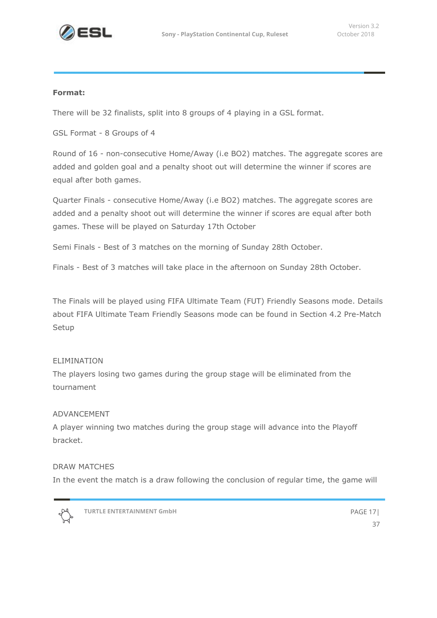

#### **Format:**

There will be 32 finalists, split into 8 groups of 4 playing in a GSL format.

GSL Format - 8 Groups of 4

Round of 16 - non-consecutive Home/Away (i.e BO2) matches. The aggregate scores are added and golden goal and a penalty shoot out will determine the winner if scores are equal after both games.

Quarter Finals - consecutive Home/Away (i.e BO2) matches. The aggregate scores are added and a penalty shoot out will determine the winner if scores are equal after both games. These will be played on Saturday 17th October

Semi Finals - Best of 3 matches on the morning of Sunday 28th October.

Finals - Best of 3 matches will take place in the afternoon on Sunday 28th October.

The Finals will be played using FIFA Ultimate Team (FUT) Friendly Seasons mode. Details about FIFA Ultimate Team Friendly Seasons mode can be found in Section 4.2 Pre-Match Setup

#### ELIMINATION

The players losing two games during the group stage will be eliminated from the tournament

#### ADVANCEMENT

A player winning two matches during the group stage will advance into the Playoff bracket.

#### DRAW MATCHES

In the event the match is a draw following the conclusion of regular time, the game will



**TURTLE ENTERTAINMENT GmbH** PAGE 17|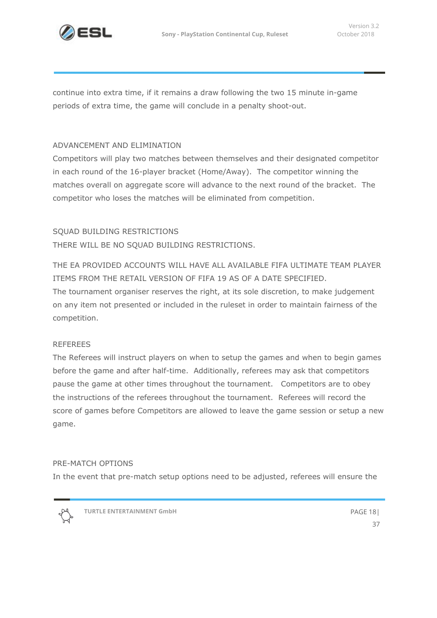

continue into extra time, if it remains a draw following the two 15 minute in-game periods of extra time, the game will conclude in a penalty shoot-out.

#### ADVANCEMENT AND ELIMINATION

Competitors will play two matches between themselves and their designated competitor in each round of the 16-player bracket (Home/Away). The competitor winning the matches overall on aggregate score will advance to the next round of the bracket. The competitor who loses the matches will be eliminated from competition.

#### SQUAD BUILDING RESTRICTIONS

THERE WILL BE NO SQUAD BUILDING RESTRICTIONS.

THE EA PROVIDED ACCOUNTS WILL HAVE ALL AVAILABLE FIFA ULTIMATE TEAM PLAYER ITEMS FROM THE RETAIL VERSION OF FIFA 19 AS OF A DATE SPECIFIED. The tournament organiser reserves the right, at its sole discretion, to make judgement on any item not presented or included in the ruleset in order to maintain fairness of the competition.

#### REFEREES

The Referees will instruct players on when to setup the games and when to begin games before the game and after half-time. Additionally, referees may ask that competitors pause the game at other times throughout the tournament. Competitors are to obey the instructions of the referees throughout the tournament. Referees will record the score of games before Competitors are allowed to leave the game session or setup a new game.

#### PRE-MATCH OPTIONS

In the event that pre-match setup options need to be adjusted, referees will ensure the

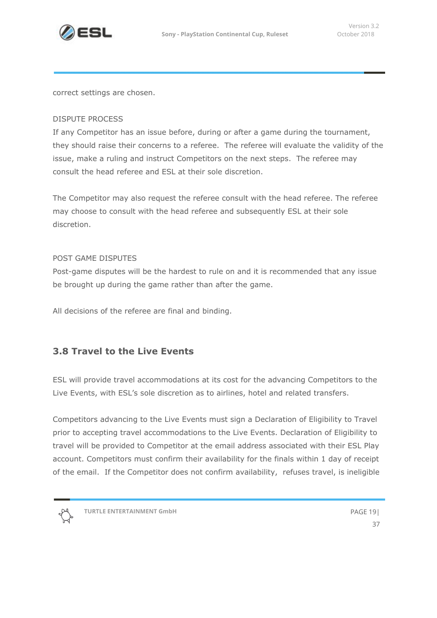

correct settings are chosen.

#### DISPUTE PROCESS

If any Competitor has an issue before, during or after a game during the tournament, they should raise their concerns to a referee. The referee will evaluate the validity of the issue, make a ruling and instruct Competitors on the next steps. The referee may consult the head referee and ESL at their sole discretion.

The Competitor may also request the referee consult with the head referee. The referee may choose to consult with the head referee and subsequently ESL at their sole discretion.

#### POST GAME DISPUTES

Post-game disputes will be the hardest to rule on and it is recommended that any issue be brought up during the game rather than after the game.

All decisions of the referee are final and binding.

## **3.8 Travel to the Live Events**

ESL will provide travel accommodations at its cost for the advancing Competitors to the Live Events, with ESL's sole discretion as to airlines, hotel and related transfers.

Competitors advancing to the Live Events must sign a Declaration of Eligibility to Travel prior to accepting travel accommodations to the Live Events. Declaration of Eligibility to travel will be provided to Competitor at the email address associated with their ESL Play account. Competitors must confirm their availability for the finals within 1 day of receipt of the email. If the Competitor does not confirm availability, refuses travel, is ineligible

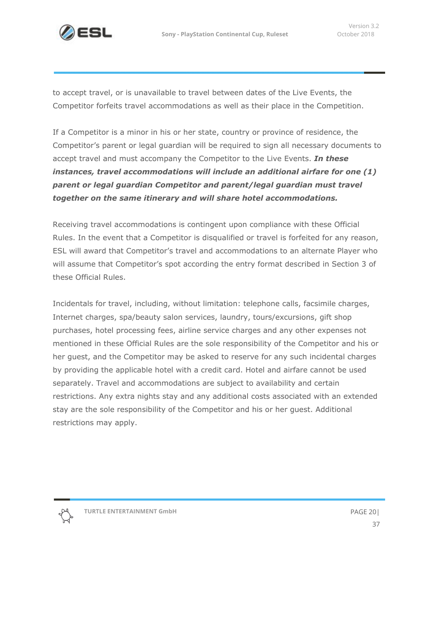

to accept travel, or is unavailable to travel between dates of the Live Events, the Competitor forfeits travel accommodations as well as their place in the Competition.

If a Competitor is a minor in his or her state, country or province of residence, the Competitor's parent or legal guardian will be required to sign all necessary documents to accept travel and must accompany the Competitor to the Live Events. *In these instances, travel accommodations will include an additional airfare for one (1) parent or legal guardian Competitor and parent/legal guardian must travel together on the same itinerary and will share hotel accommodations.*

Receiving travel accommodations is contingent upon compliance with these Official Rules. In the event that a Competitor is disqualified or travel is forfeited for any reason, ESL will award that Competitor's travel and accommodations to an alternate Player who will assume that Competitor's spot according the entry format described in Section 3 of these Official Rules.

Incidentals for travel, including, without limitation: telephone calls, facsimile charges, Internet charges, spa/beauty salon services, laundry, tours/excursions, gift shop purchases, hotel processing fees, airline service charges and any other expenses not mentioned in these Official Rules are the sole responsibility of the Competitor and his or her guest, and the Competitor may be asked to reserve for any such incidental charges by providing the applicable hotel with a credit card. Hotel and airfare cannot be used separately. Travel and accommodations are subject to availability and certain restrictions. Any extra nights stay and any additional costs associated with an extended stay are the sole responsibility of the Competitor and his or her guest. Additional restrictions may apply.

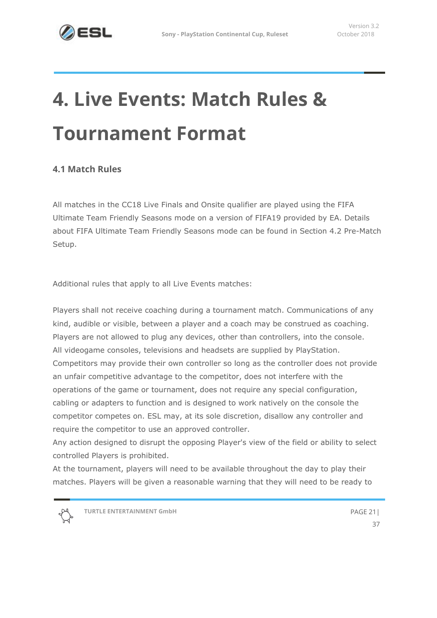# **4. Live Events: Match Rules & Tournament Format**

## <span id="page-20-0"></span>**4.1 Match Rules**

All matches in the CC18 Live Finals and Onsite qualifier are played using the FIFA Ultimate Team Friendly Seasons mode on a version of FIFA19 provided by EA. Details about FIFA Ultimate Team Friendly Seasons mode can be found in Section 4.2 Pre-Match Setup.

Additional rules that apply to all Live Events matches:

Players shall not receive coaching during a tournament match. Communications of any kind, audible or visible, between a player and a coach may be construed as coaching. Players are not allowed to plug any devices, other than controllers, into the console. All videogame consoles, televisions and headsets are supplied by PlayStation. Competitors may provide their own controller so long as the controller does not provide an unfair competitive advantage to the competitor, does not interfere with the operations of the game or tournament, does not require any special configuration, cabling or adapters to function and is designed to work natively on the console the competitor competes on. ESL may, at its sole discretion, disallow any controller and require the competitor to use an approved controller.

Any action designed to disrupt the opposing Player's view of the field or ability to select controlled Players is prohibited.

At the tournament, players will need to be available throughout the day to play their matches. Players will be given a reasonable warning that they will need to be ready to

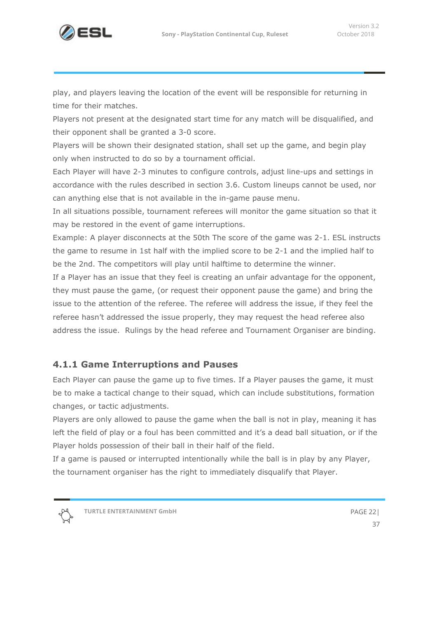

play, and players leaving the location of the event will be responsible for returning in time for their matches.

Players not present at the designated start time for any match will be disqualified, and their opponent shall be granted a 3-0 score.

Players will be shown their designated station, shall set up the game, and begin play only when instructed to do so by a tournament official.

Each Player will have 2-3 minutes to configure controls, adjust line-ups and settings in accordance with the rules described in section 3.6. Custom lineups cannot be used, nor can anything else that is not available in the in-game pause menu.

In all situations possible, tournament referees will monitor the game situation so that it may be restored in the event of game interruptions.

Example: A player disconnects at the 50th The score of the game was 2-1. ESL instructs the game to resume in 1st half with the implied score to be 2-1 and the implied half to be the 2nd. The competitors will play until halftime to determine the winner.

If a Player has an issue that they feel is creating an unfair advantage for the opponent, they must pause the game, (or request their opponent pause the game) and bring the issue to the attention of the referee. The referee will address the issue, if they feel the referee hasn't addressed the issue properly, they may request the head referee also address the issue. Rulings by the head referee and Tournament Organiser are binding.

## **4.1.1 Game Interruptions and Pauses**

Each Player can pause the game up to five times. If a Player pauses the game, it must be to make a tactical change to their squad, which can include substitutions, formation changes, or tactic adjustments.

Players are only allowed to pause the game when the ball is not in play, meaning it has left the field of play or a foul has been committed and it's a dead ball situation, or if the Player holds possession of their ball in their half of the field.

If a game is paused or interrupted intentionally while the ball is in play by any Player, the tournament organiser has the right to immediately disqualify that Player.

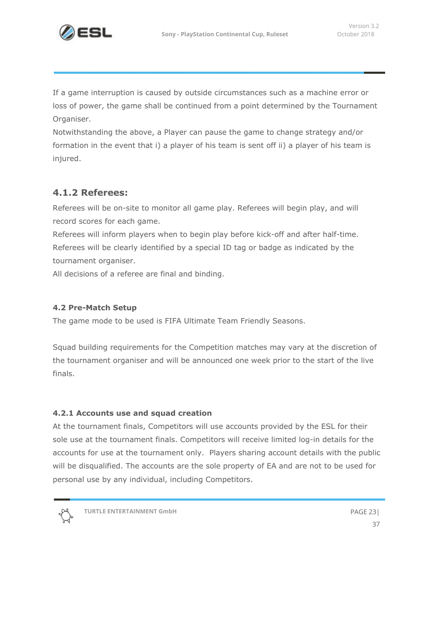

If a game interruption is caused by outside circumstances such as a machine error or loss of power, the game shall be continued from a point determined by the Tournament Organiser.

Notwithstanding the above, a Player can pause the game to change strategy and/or formation in the event that i) a player of his team is sent off ii) a player of his team is injured.

## **4.1.2 Referees:**

Referees will be on-site to monitor all game play. Referees will begin play, and will record scores for each game.

Referees will inform players when to begin play before kick-off and after half-time. Referees will be clearly identified by a special ID tag or badge as indicated by the tournament organiser.

All decisions of a referee are final and binding.

#### **4.2 Pre-Match Setup**

The game mode to be used is FIFA Ultimate Team Friendly Seasons.

Squad building requirements for the Competition matches may vary at the discretion of the tournament organiser and will be announced one week prior to the start of the live finals.

#### **4.2.1 Accounts use and squad creation**

At the tournament finals, Competitors will use accounts provided by the ESL for their sole use at the tournament finals. Competitors will receive limited log-in details for the accounts for use at the tournament only. Players sharing account details with the public will be disqualified. The accounts are the sole property of EA and are not to be used for personal use by any individual, including Competitors.



**TURTLE ENTERTAINMENT GmbH** PAGE 23|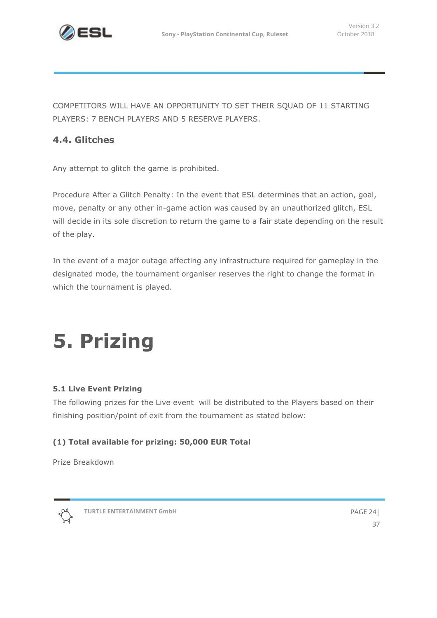

COMPETITORS WILL HAVE AN OPPORTUNITY TO SET THEIR SQUAD OF 11 STARTING PLAYERS: 7 BENCH PLAYERS AND 5 RESERVE PLAYERS.

## **4.4. Glitches**

Any attempt to glitch the game is prohibited.

Procedure After a Glitch Penalty: In the event that ESL determines that an action, goal, move, penalty or any other in-game action was caused by an unauthorized glitch, ESL will decide in its sole discretion to return the game to a fair state depending on the result of the play.

In the event of a major outage affecting any infrastructure required for gameplay in the designated mode, the tournament organiser reserves the right to change the format in which the tournament is played.

# <span id="page-23-0"></span>**5. Prizing**

#### **5.1 Live Event Prizing**

The following prizes for the Live event will be distributed to the Players based on their finishing position/point of exit from the tournament as stated below:

#### **(1) Total available for prizing: 50,000 EUR Total**

Prize Breakdown



**TURTLE ENTERTAINMENT GmbH** PAGE 24|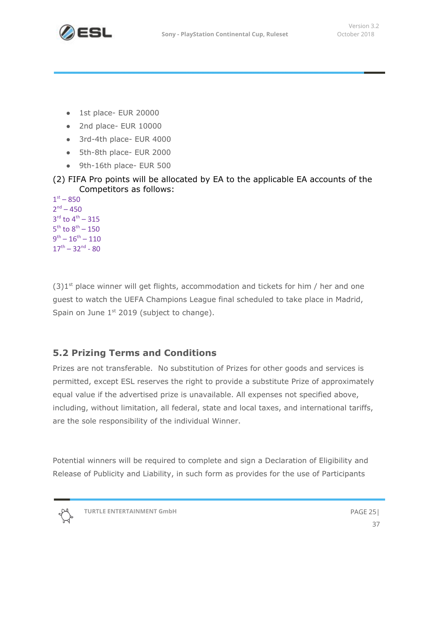

- 1st place- EUR 20000
- 2nd place- EUR 10000
- 3rd-4th place- EUR 4000
- 5th-8th place- EUR 2000
- 9th-16th place- EUR 500

(2) FIFA Pro points will be allocated by EA to the applicable EA accounts of the Competitors as follows:

 $1^{st} - 850$  $2<sup>nd</sup> - 450$  $3^{\text{rd}}$  to  $4^{\text{th}} - 315$  $5^{\text{th}}$  to  $8^{\text{th}} - 150$  $9^{\text{th}} - 16^{\text{th}} - 110$  $17^{\text{th}} - 32^{\text{nd}} - 80$ 

 $(3)1<sup>st</sup>$  place winner will get flights, accommodation and tickets for him / her and one guest to watch the UEFA Champions League final scheduled to take place in Madrid, Spain on June  $1<sup>st</sup>$  2019 (subject to change).

## **5.2 Prizing Terms and Conditions**

Prizes are not transferable. No substitution of Prizes for other goods and services is permitted, except ESL reserves the right to provide a substitute Prize of approximately equal value if the advertised prize is unavailable. All expenses not specified above, including, without limitation, all federal, state and local taxes, and international tariffs, are the sole responsibility of the individual Winner.

Potential winners will be required to complete and sign a Declaration of Eligibility and Release of Publicity and Liability, in such form as provides for the use of Participants

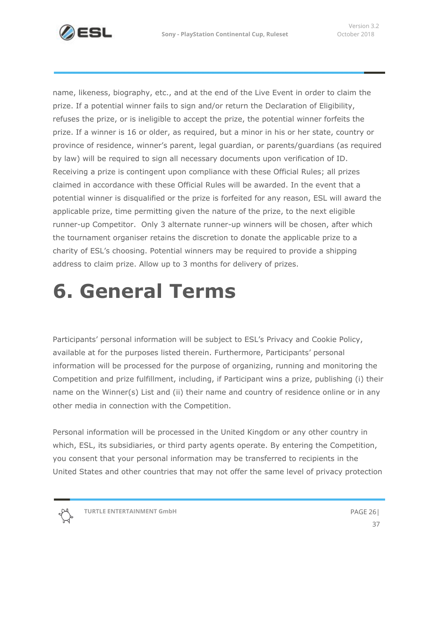

name, likeness, biography, etc., and at the end of the Live Event in order to claim the prize. If a potential winner fails to sign and/or return the Declaration of Eligibility, refuses the prize, or is ineligible to accept the prize, the potential winner forfeits the prize. If a winner is 16 or older, as required, but a minor in his or her state, country or province of residence, winner's parent, legal guardian, or parents/guardians (as required by law) will be required to sign all necessary documents upon verification of ID. Receiving a prize is contingent upon compliance with these Official Rules; all prizes claimed in accordance with these Official Rules will be awarded. In the event that a potential winner is disqualified or the prize is forfeited for any reason, ESL will award the applicable prize, time permitting given the nature of the prize, to the next eligible runner-up Competitor. Only 3 alternate runner-up winners will be chosen, after which the tournament organiser retains the discretion to donate the applicable prize to a charity of ESL's choosing. Potential winners may be required to provide a shipping address to claim prize. Allow up to 3 months for delivery of prizes.

## <span id="page-25-0"></span>**6. General Terms**

Participants' personal information will be subject to ESL's Privacy and Cookie Policy, available at for the purposes listed therein. Furthermore, Participants' personal information will be processed for the purpose of organizing, running and monitoring the Competition and prize fulfillment, including, if Participant wins a prize, publishing (i) their name on the Winner(s) List and (ii) their name and country of residence online or in any other media in connection with the Competition.

Personal information will be processed in the United Kingdom or any other country in which, ESL, its subsidiaries, or third party agents operate. By entering the Competition, you consent that your personal information may be transferred to recipients in the United States and other countries that may not offer the same level of privacy protection

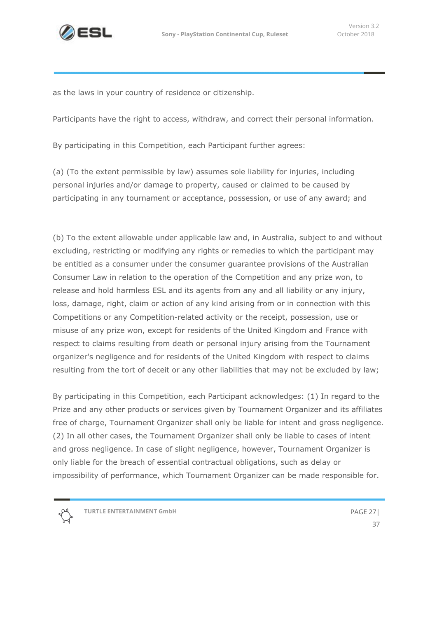

as the laws in your country of residence or citizenship.

Participants have the right to access, withdraw, and correct their personal information.

By participating in this Competition, each Participant further agrees:

(a) (To the extent permissible by law) assumes sole liability for injuries, including personal injuries and/or damage to property, caused or claimed to be caused by participating in any tournament or acceptance, possession, or use of any award; and

(b) To the extent allowable under applicable law and, in Australia, subject to and without excluding, restricting or modifying any rights or remedies to which the participant may be entitled as a consumer under the consumer guarantee provisions of the Australian Consumer Law in relation to the operation of the Competition and any prize won, to release and hold harmless ESL and its agents from any and all liability or any injury, loss, damage, right, claim or action of any kind arising from or in connection with this Competitions or any Competition-related activity or the receipt, possession, use or misuse of any prize won, except for residents of the United Kingdom and France with respect to claims resulting from death or personal injury arising from the Tournament organizer's negligence and for residents of the United Kingdom with respect to claims resulting from the tort of deceit or any other liabilities that may not be excluded by law;

By participating in this Competition, each Participant acknowledges: (1) In regard to the Prize and any other products or services given by Tournament Organizer and its affiliates free of charge, Tournament Organizer shall only be liable for intent and gross negligence. (2) In all other cases, the Tournament Organizer shall only be liable to cases of intent and gross negligence. In case of slight negligence, however, Tournament Organizer is only liable for the breach of essential contractual obligations, such as delay or impossibility of performance, which Tournament Organizer can be made responsible for.

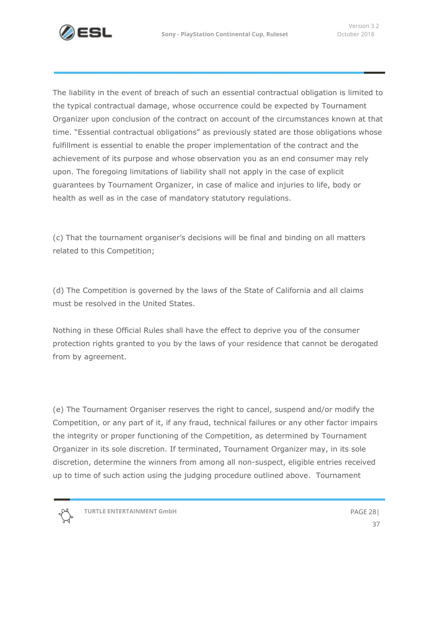

The liability in the event of breach of such an essential contractual obligation is limited to the typical contractual damage, whose occurrence could be expected by Tournament Organizer upon conclusion of the contract on account of the circumstances known at that time. "Essential contractual obligations" as previously stated are those obligations whose fulfillment is essential to enable the proper implementation of the contract and the achievement of its purpose and whose observation you as an end consumer may rely upon. The foregoing limitations of liability shall not apply in the case of explicit guarantees by Tournament Organizer, in case of malice and injuries to life, body or health as well as in the case of mandatory statutory regulations.

(c) That the tournament organiser's decisions will be final and binding on all matters related to this Competition;

(d) The Competition is governed by the laws of the State of California and all claims must be resolved in the United States.

Nothing in these Official Rules shall have the effect to deprive you of the consumer protection rights granted to you by the laws of your residence that cannot be derogated from by agreement.

(e) The Tournament Organiser reserves the right to cancel, suspend and/or modify the Competition, or any part of it, if any fraud, technical failures or any other factor impairs the integrity or proper functioning of the Competition, as determined by Tournament Organizer in its sole discretion. If terminated, Tournament Organizer may, in its sole discretion, determine the winners from among all non-suspect, eligible entries received up to time of such action using the judging procedure outlined above. Tournament



**TURTLE ENTERTAINMENT GmbH** PAGE 28|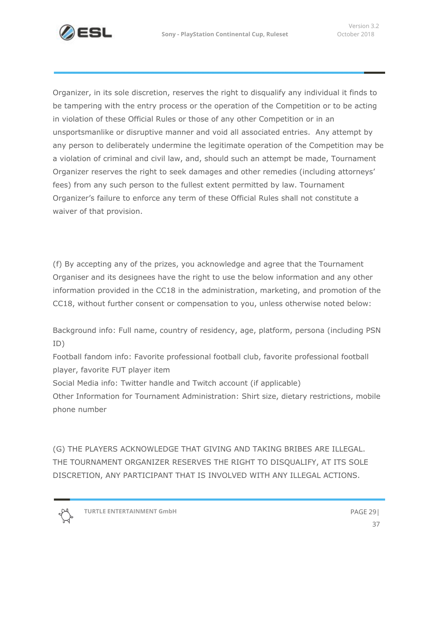

Organizer, in its sole discretion, reserves the right to disqualify any individual it finds to be tampering with the entry process or the operation of the Competition or to be acting in violation of these Official Rules or those of any other Competition or in an unsportsmanlike or disruptive manner and void all associated entries. Any attempt by any person to deliberately undermine the legitimate operation of the Competition may be a violation of criminal and civil law, and, should such an attempt be made, Tournament Organizer reserves the right to seek damages and other remedies (including attorneys' fees) from any such person to the fullest extent permitted by law. Tournament Organizer's failure to enforce any term of these Official Rules shall not constitute a waiver of that provision.

(f) By accepting any of the prizes, you acknowledge and agree that the Tournament Organiser and its designees have the right to use the below information and any other information provided in the CC18 in the administration, marketing, and promotion of the CC18, without further consent or compensation to you, unless otherwise noted below:

Background info: Full name, country of residency, age, platform, persona (including PSN ID)

Football fandom info: Favorite professional football club, favorite professional football player, favorite FUT player item

Social Media info: Twitter handle and Twitch account (if applicable)

Other Information for Tournament Administration: Shirt size, dietary restrictions, mobile phone number

(G) THE PLAYERS ACKNOWLEDGE THAT GIVING AND TAKING BRIBES ARE ILLEGAL. THE TOURNAMENT ORGANIZER RESERVES THE RIGHT TO DISQUALIFY, AT ITS SOLE DISCRETION, ANY PARTICIPANT THAT IS INVOLVED WITH ANY ILLEGAL ACTIONS.

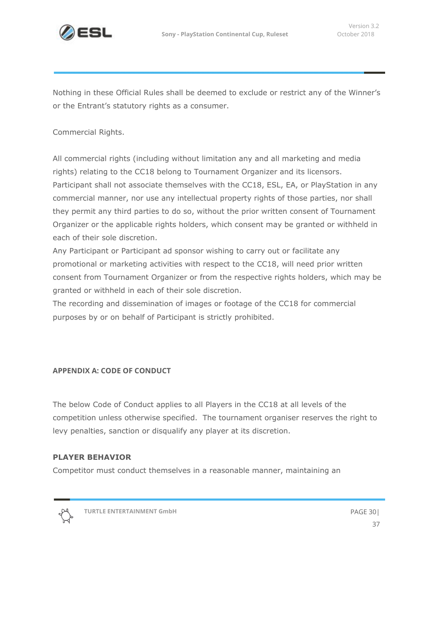

Nothing in these Official Rules shall be deemed to exclude or restrict any of the Winner's or the Entrant's statutory rights as a consumer.

Commercial Rights.

All commercial rights (including without limitation any and all marketing and media rights) relating to the CC18 belong to Tournament Organizer and its licensors. Participant shall not associate themselves with the CC18, ESL, EA, or PlayStation in any commercial manner, nor use any intellectual property rights of those parties, nor shall they permit any third parties to do so, without the prior written consent of Tournament Organizer or the applicable rights holders, which consent may be granted or withheld in each of their sole discretion.

Any Participant or Participant ad sponsor wishing to carry out or facilitate any promotional or marketing activities with respect to the CC18, will need prior written consent from Tournament Organizer or from the respective rights holders, which may be granted or withheld in each of their sole discretion.

The recording and dissemination of images or footage of the CC18 for commercial purposes by or on behalf of Participant is strictly prohibited.

#### <span id="page-29-0"></span>**APPENDIX A: CODE OF CONDUCT**

The below Code of Conduct applies to all Players in the CC18 at all levels of the competition unless otherwise specified. The tournament organiser reserves the right to levy penalties, sanction or disqualify any player at its discretion.

#### **PLAYER BEHAVIOR**

Competitor must conduct themselves in a reasonable manner, maintaining an



**TURTLE ENTERTAINMENT GmbH** PAGE 30|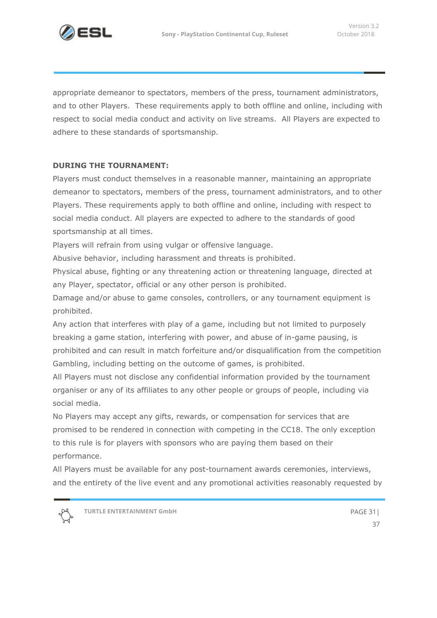

appropriate demeanor to spectators, members of the press, tournament administrators, and to other Players. These requirements apply to both offline and online, including with respect to social media conduct and activity on live streams. All Players are expected to adhere to these standards of sportsmanship.

#### **DURING THE TOURNAMENT:**

Players must conduct themselves in a reasonable manner, maintaining an appropriate demeanor to spectators, members of the press, tournament administrators, and to other Players. These requirements apply to both offline and online, including with respect to social media conduct. All players are expected to adhere to the standards of good sportsmanship at all times.

Players will refrain from using vulgar or offensive language.

Abusive behavior, including harassment and threats is prohibited.

Physical abuse, fighting or any threatening action or threatening language, directed at any Player, spectator, official or any other person is prohibited.

Damage and/or abuse to game consoles, controllers, or any tournament equipment is prohibited.

Any action that interferes with play of a game, including but not limited to purposely breaking a game station, interfering with power, and abuse of in-game pausing, is prohibited and can result in match forfeiture and/or disqualification from the competition Gambling, including betting on the outcome of games, is prohibited.

All Players must not disclose any confidential information provided by the tournament organiser or any of its affiliates to any other people or groups of people, including via social media.

No Players may accept any gifts, rewards, or compensation for services that are promised to be rendered in connection with competing in the CC18. The only exception to this rule is for players with sponsors who are paying them based on their performance.

All Players must be available for any post-tournament awards ceremonies, interviews, and the entirety of the live event and any promotional activities reasonably requested by

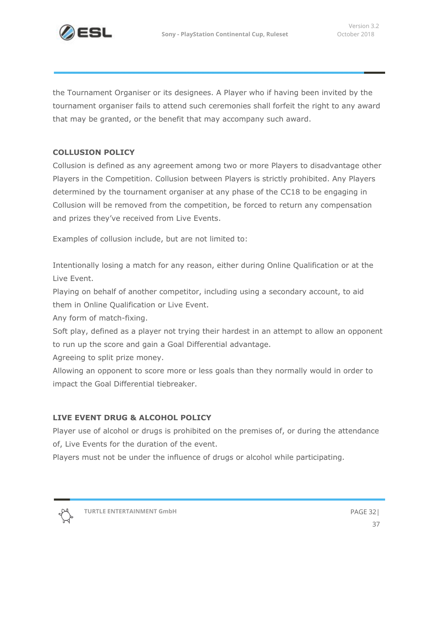

the Tournament Organiser or its designees. A Player who if having been invited by the tournament organiser fails to attend such ceremonies shall forfeit the right to any award that may be granted, or the benefit that may accompany such award.

#### **COLLUSION POLICY**

Collusion is defined as any agreement among two or more Players to disadvantage other Players in the Competition. Collusion between Players is strictly prohibited. Any Players determined by the tournament organiser at any phase of the CC18 to be engaging in Collusion will be removed from the competition, be forced to return any compensation and prizes they've received from Live Events.

Examples of collusion include, but are not limited to:

Intentionally losing a match for any reason, either during Online Qualification or at the Live Event.

Playing on behalf of another competitor, including using a secondary account, to aid them in Online Qualification or Live Event.

Any form of match-fixing.

Soft play, defined as a player not trying their hardest in an attempt to allow an opponent to run up the score and gain a Goal Differential advantage.

Agreeing to split prize money.

Allowing an opponent to score more or less goals than they normally would in order to impact the Goal Differential tiebreaker.

#### **LIVE EVENT DRUG & ALCOHOL POLICY**

Player use of alcohol or drugs is prohibited on the premises of, or during the attendance of, Live Events for the duration of the event.

Players must not be under the influence of drugs or alcohol while participating.



**TURTLE ENTERTAINMENT GmbH** PAGE 32|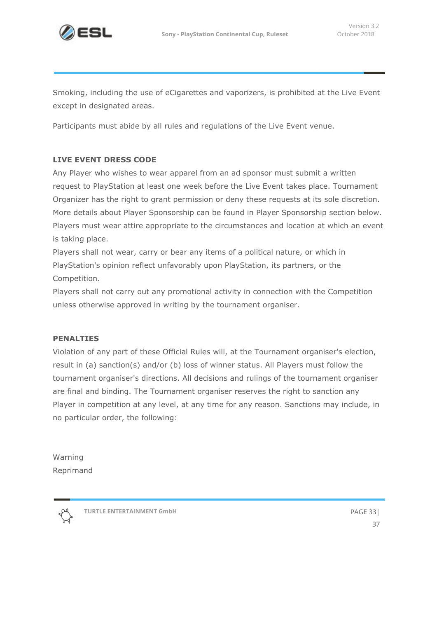

Smoking, including the use of eCigarettes and vaporizers, is prohibited at the Live Event except in designated areas.

Participants must abide by all rules and regulations of the Live Event venue.

#### **LIVE EVENT DRESS CODE**

Any Player who wishes to wear apparel from an ad sponsor must submit a written request to PlayStation at least one week before the Live Event takes place. Tournament Organizer has the right to grant permission or deny these requests at its sole discretion. More details about Player Sponsorship can be found in Player Sponsorship section below. Players must wear attire appropriate to the circumstances and location at which an event is taking place.

Players shall not wear, carry or bear any items of a political nature, or which in PlayStation's opinion reflect unfavorably upon PlayStation, its partners, or the Competition.

Players shall not carry out any promotional activity in connection with the Competition unless otherwise approved in writing by the tournament organiser.

#### **PENALTIES**

Violation of any part of these Official Rules will, at the Tournament organiser's election, result in (a) sanction(s) and/or (b) loss of winner status. All Players must follow the tournament organiser's directions. All decisions and rulings of the tournament organiser are final and binding. The Tournament organiser reserves the right to sanction any Player in competition at any level, at any time for any reason. Sanctions may include, in no particular order, the following:

Warning Reprimand



**TURTLE ENTERTAINMENT GmbH** PAGE 33|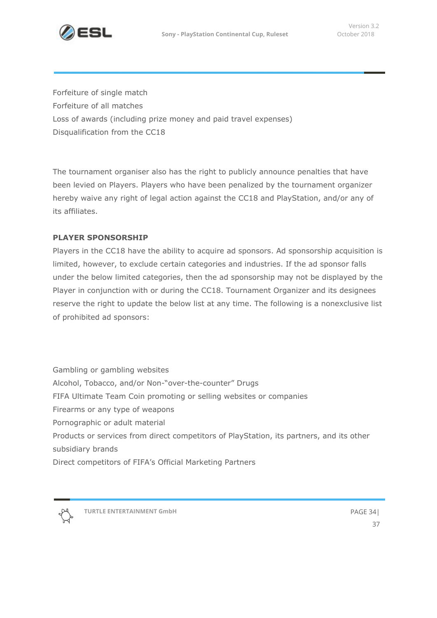

Forfeiture of single match Forfeiture of all matches Loss of awards (including prize money and paid travel expenses) Disqualification from the CC18

The tournament organiser also has the right to publicly announce penalties that have been levied on Players. Players who have been penalized by the tournament organizer hereby waive any right of legal action against the CC18 and PlayStation, and/or any of its affiliates.

#### **PLAYER SPONSORSHIP**

Players in the CC18 have the ability to acquire ad sponsors. Ad sponsorship acquisition is limited, however, to exclude certain categories and industries. If the ad sponsor falls under the below limited categories, then the ad sponsorship may not be displayed by the Player in conjunction with or during the CC18. Tournament Organizer and its designees reserve the right to update the below list at any time. The following is a nonexclusive list of prohibited ad sponsors:

Gambling or gambling websites Alcohol, Tobacco, and/or Non-"over-the-counter" Drugs FIFA Ultimate Team Coin promoting or selling websites or companies Firearms or any type of weapons Pornographic or adult material Products or services from direct competitors of PlayStation, its partners, and its other subsidiary brands Direct competitors of FIFA's Official Marketing Partners

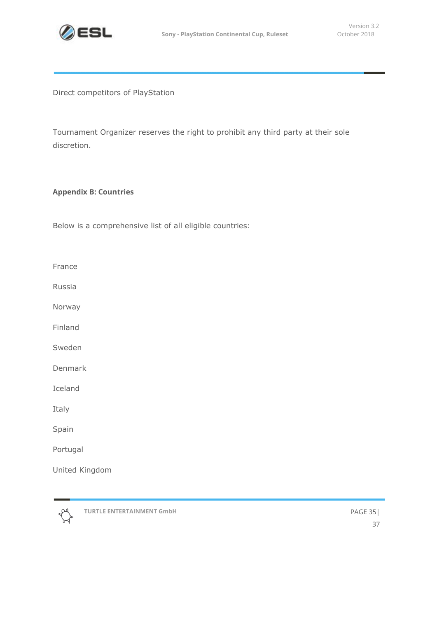

Direct competitors of PlayStation

Tournament Organizer reserves the right to prohibit any third party at their sole discretion.

#### <span id="page-34-0"></span>**Appendix B: Countries**

Below is a comprehensive list of all eligible countries:

France

Russia

Norway

Finland

Sweden

Denmark

Iceland

Italy

Spain

Portugal

United Kingdom



**TURTLE ENTERTAINMENT GmbH** PAGE 35|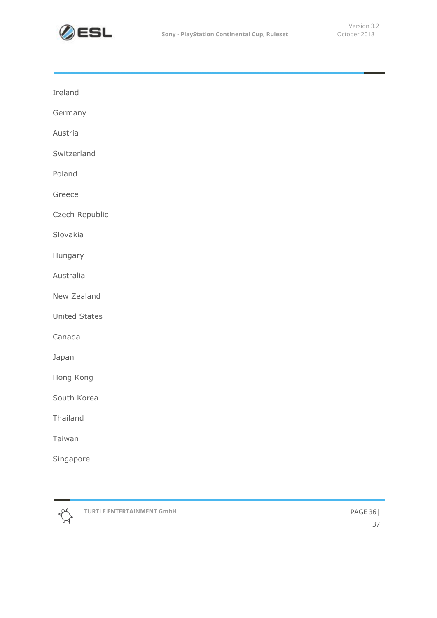

| Ireland              |  |  |  |
|----------------------|--|--|--|
| Germany              |  |  |  |
| Austria              |  |  |  |
| Switzerland          |  |  |  |
| Poland               |  |  |  |
| Greece               |  |  |  |
| Czech Republic       |  |  |  |
| Slovakia             |  |  |  |
| Hungary              |  |  |  |
| Australia            |  |  |  |
| New Zealand          |  |  |  |
| <b>United States</b> |  |  |  |
| Canada               |  |  |  |
| Japan                |  |  |  |
| Hong Kong            |  |  |  |
| South Korea          |  |  |  |
| Thailand             |  |  |  |
| Taiwan               |  |  |  |
| Singapore            |  |  |  |
|                      |  |  |  |